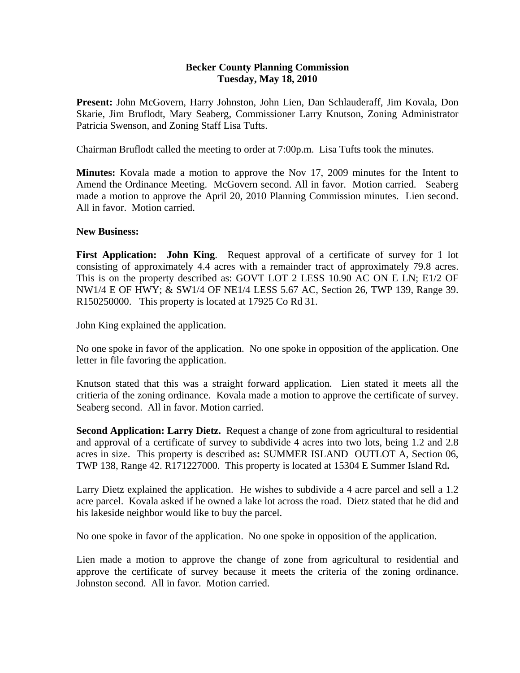## **Becker County Planning Commission Tuesday, May 18, 2010**

**Present:** John McGovern, Harry Johnston, John Lien, Dan Schlauderaff, Jim Kovala, Don Skarie, Jim Bruflodt, Mary Seaberg, Commissioner Larry Knutson, Zoning Administrator Patricia Swenson, and Zoning Staff Lisa Tufts.

Chairman Bruflodt called the meeting to order at 7:00p.m. Lisa Tufts took the minutes.

**Minutes:** Kovala made a motion to approve the Nov 17, 2009 minutes for the Intent to Amend the Ordinance Meeting. McGovern second. All in favor. Motion carried. Seaberg made a motion to approve the April 20, 2010 Planning Commission minutes. Lien second. All in favor. Motion carried.

## **New Business:**

**First Application: John King**. Request approval of a certificate of survey for 1 lot consisting of approximately 4.4 acres with a remainder tract of approximately 79.8 acres. This is on the property described as: GOVT LOT 2 LESS 10.90 AC ON E LN; E1/2 OF NW1/4 E OF HWY; & SW1/4 OF NE1/4 LESS 5.67 AC, Section 26, TWP 139, Range 39. R150250000. This property is located at 17925 Co Rd 31.

John King explained the application.

No one spoke in favor of the application. No one spoke in opposition of the application. One letter in file favoring the application.

Knutson stated that this was a straight forward application. Lien stated it meets all the critieria of the zoning ordinance. Kovala made a motion to approve the certificate of survey. Seaberg second. All in favor. Motion carried.

**Second Application: Larry Dietz.** Request a change of zone from agricultural to residential and approval of a certificate of survey to subdivide 4 acres into two lots, being 1.2 and 2.8 acres in size.This property is described as**:** SUMMER ISLAND OUTLOT A, Section 06, TWP 138, Range 42. R171227000. This property is located at 15304 E Summer Island Rd**.** 

Larry Dietz explained the application. He wishes to subdivide a 4 acre parcel and sell a 1.2 acre parcel. Kovala asked if he owned a lake lot across the road. Dietz stated that he did and his lakeside neighbor would like to buy the parcel.

No one spoke in favor of the application. No one spoke in opposition of the application.

Lien made a motion to approve the change of zone from agricultural to residential and approve the certificate of survey because it meets the criteria of the zoning ordinance. Johnston second. All in favor. Motion carried.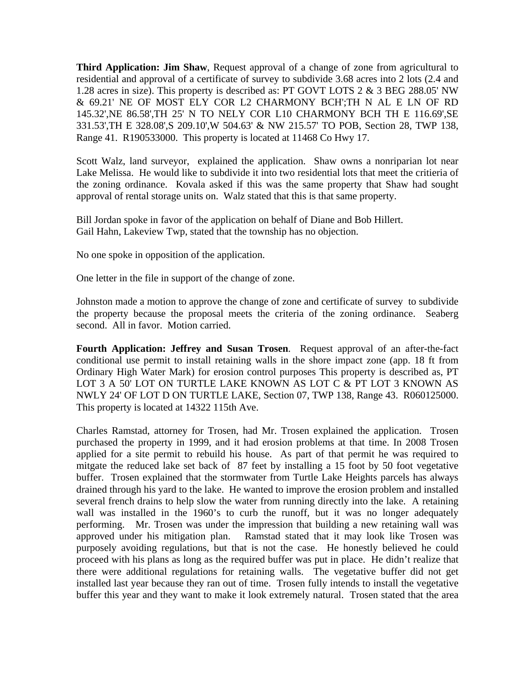**Third Application: Jim Shaw**, Request approval of a change of zone from agricultural to residential and approval of a certificate of survey to subdivide 3.68 acres into 2 lots (2.4 and 1.28 acres in size). This property is described as: PT GOVT LOTS 2 & 3 BEG 288.05' NW & 69.21' NE OF MOST ELY COR L2 CHARMONY BCH';TH N AL E LN OF RD 145.32',NE 86.58',TH 25' N TO NELY COR L10 CHARMONY BCH TH E 116.69',SE 331.53',TH E 328.08',S 209.10',W 504.63' & NW 215.57' TO POB, Section 28, TWP 138, Range 41. R190533000. This property is located at 11468 Co Hwy 17.

Scott Walz, land surveyor, explained the application. Shaw owns a nonriparian lot near Lake Melissa. He would like to subdivide it into two residential lots that meet the critieria of the zoning ordinance. Kovala asked if this was the same property that Shaw had sought approval of rental storage units on. Walz stated that this is that same property.

Bill Jordan spoke in favor of the application on behalf of Diane and Bob Hillert. Gail Hahn, Lakeview Twp, stated that the township has no objection.

No one spoke in opposition of the application.

One letter in the file in support of the change of zone.

Johnston made a motion to approve the change of zone and certificate of survey to subdivide the property because the proposal meets the criteria of the zoning ordinance. Seaberg second. All in favor. Motion carried.

**Fourth Application: Jeffrey and Susan Trosen**. Request approval of an after-the-fact conditional use permit to install retaining walls in the shore impact zone (app. 18 ft from Ordinary High Water Mark) for erosion control purposes This property is described as, PT LOT 3 A 50' LOT ON TURTLE LAKE KNOWN AS LOT C & PT LOT 3 KNOWN AS NWLY 24' OF LOT D ON TURTLE LAKE, Section 07, TWP 138, Range 43. R060125000. This property is located at 14322 115th Ave.

Charles Ramstad, attorney for Trosen, had Mr. Trosen explained the application. Trosen purchased the property in 1999, and it had erosion problems at that time. In 2008 Trosen applied for a site permit to rebuild his house. As part of that permit he was required to mitgate the reduced lake set back of 87 feet by installing a 15 foot by 50 foot vegetative buffer. Trosen explained that the stormwater from Turtle Lake Heights parcels has always drained through his yard to the lake. He wanted to improve the erosion problem and installed several french drains to help slow the water from running directly into the lake. A retaining wall was installed in the 1960's to curb the runoff, but it was no longer adequately performing. Mr. Trosen was under the impression that building a new retaining wall was approved under his mitigation plan. Ramstad stated that it may look like Trosen was purposely avoiding regulations, but that is not the case. He honestly believed he could proceed with his plans as long as the required buffer was put in place. He didn't realize that there were additional regulations for retaining walls. The vegetative buffer did not get installed last year because they ran out of time. Trosen fully intends to install the vegetative buffer this year and they want to make it look extremely natural. Trosen stated that the area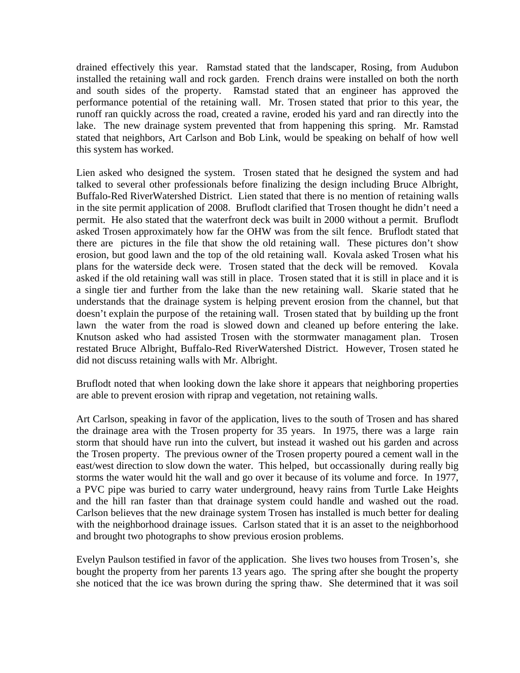drained effectively this year. Ramstad stated that the landscaper, Rosing, from Audubon installed the retaining wall and rock garden. French drains were installed on both the north and south sides of the property. Ramstad stated that an engineer has approved the performance potential of the retaining wall. Mr. Trosen stated that prior to this year, the runoff ran quickly across the road, created a ravine, eroded his yard and ran directly into the lake. The new drainage system prevented that from happening this spring. Mr. Ramstad stated that neighbors, Art Carlson and Bob Link, would be speaking on behalf of how well this system has worked.

Lien asked who designed the system. Trosen stated that he designed the system and had talked to several other professionals before finalizing the design including Bruce Albright, Buffalo-Red RiverWatershed District. Lien stated that there is no mention of retaining walls in the site permit application of 2008. Bruflodt clarified that Trosen thought he didn't need a permit. He also stated that the waterfront deck was built in 2000 without a permit. Bruflodt asked Trosen approximately how far the OHW was from the silt fence. Bruflodt stated that there are pictures in the file that show the old retaining wall. These pictures don't show erosion, but good lawn and the top of the old retaining wall. Kovala asked Trosen what his plans for the waterside deck were. Trosen stated that the deck will be removed. Kovala asked if the old retaining wall was still in place. Trosen stated that it is still in place and it is a single tier and further from the lake than the new retaining wall. Skarie stated that he understands that the drainage system is helping prevent erosion from the channel, but that doesn't explain the purpose of the retaining wall. Trosen stated that by building up the front lawn the water from the road is slowed down and cleaned up before entering the lake. Knutson asked who had assisted Trosen with the stormwater managament plan. Trosen restated Bruce Albright, Buffalo-Red RiverWatershed District. However, Trosen stated he did not discuss retaining walls with Mr. Albright.

Bruflodt noted that when looking down the lake shore it appears that neighboring properties are able to prevent erosion with riprap and vegetation, not retaining walls.

Art Carlson, speaking in favor of the application, lives to the south of Trosen and has shared the drainage area with the Trosen property for 35 years. In 1975, there was a large rain storm that should have run into the culvert, but instead it washed out his garden and across the Trosen property. The previous owner of the Trosen property poured a cement wall in the east/west direction to slow down the water. This helped, but occassionally during really big storms the water would hit the wall and go over it because of its volume and force. In 1977, a PVC pipe was buried to carry water underground, heavy rains from Turtle Lake Heights and the hill ran faster than that drainage system could handle and washed out the road. Carlson believes that the new drainage system Trosen has installed is much better for dealing with the neighborhood drainage issues. Carlson stated that it is an asset to the neighborhood and brought two photographs to show previous erosion problems.

Evelyn Paulson testified in favor of the application. She lives two houses from Trosen's, she bought the property from her parents 13 years ago. The spring after she bought the property she noticed that the ice was brown during the spring thaw. She determined that it was soil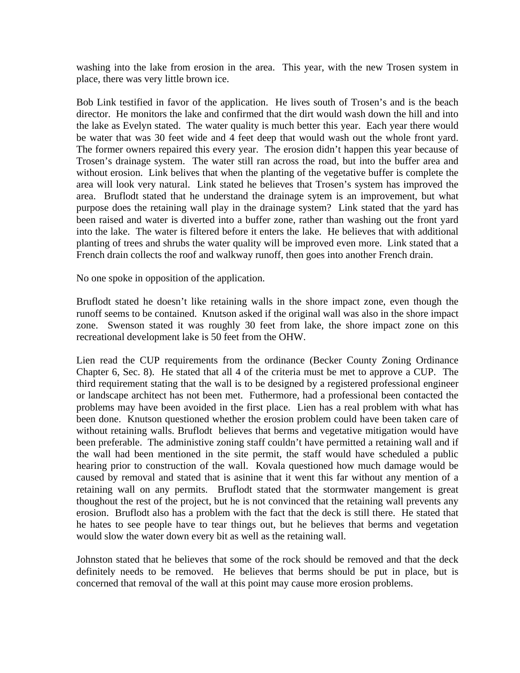washing into the lake from erosion in the area. This year, with the new Trosen system in place, there was very little brown ice.

Bob Link testified in favor of the application. He lives south of Trosen's and is the beach director. He monitors the lake and confirmed that the dirt would wash down the hill and into the lake as Evelyn stated. The water quality is much better this year. Each year there would be water that was 30 feet wide and 4 feet deep that would wash out the whole front yard. The former owners repaired this every year. The erosion didn't happen this year because of Trosen's drainage system. The water still ran across the road, but into the buffer area and without erosion. Link belives that when the planting of the vegetative buffer is complete the area will look very natural. Link stated he believes that Trosen's system has improved the area. Bruflodt stated that he understand the drainage sytem is an improvement, but what purpose does the retaining wall play in the drainage system? Link stated that the yard has been raised and water is diverted into a buffer zone, rather than washing out the front yard into the lake. The water is filtered before it enters the lake. He believes that with additional planting of trees and shrubs the water quality will be improved even more. Link stated that a French drain collects the roof and walkway runoff, then goes into another French drain.

No one spoke in opposition of the application.

Bruflodt stated he doesn't like retaining walls in the shore impact zone, even though the runoff seems to be contained. Knutson asked if the original wall was also in the shore impact zone. Swenson stated it was roughly 30 feet from lake, the shore impact zone on this recreational development lake is 50 feet from the OHW.

Lien read the CUP requirements from the ordinance (Becker County Zoning Ordinance Chapter 6, Sec. 8). He stated that all 4 of the criteria must be met to approve a CUP. The third requirement stating that the wall is to be designed by a registered professional engineer or landscape architect has not been met. Futhermore, had a professional been contacted the problems may have been avoided in the first place. Lien has a real problem with what has been done. Knutson questioned whether the erosion problem could have been taken care of without retaining walls. Bruflodt believes that berms and vegetative mitigation would have been preferable. The administive zoning staff couldn't have permitted a retaining wall and if the wall had been mentioned in the site permit, the staff would have scheduled a public hearing prior to construction of the wall. Kovala questioned how much damage would be caused by removal and stated that is asinine that it went this far without any mention of a retaining wall on any permits. Bruflodt stated that the stormwater mangement is great thoughout the rest of the project, but he is not convinced that the retaining wall prevents any erosion. Bruflodt also has a problem with the fact that the deck is still there. He stated that he hates to see people have to tear things out, but he believes that berms and vegetation would slow the water down every bit as well as the retaining wall.

Johnston stated that he believes that some of the rock should be removed and that the deck definitely needs to be removed. He believes that berms should be put in place, but is concerned that removal of the wall at this point may cause more erosion problems.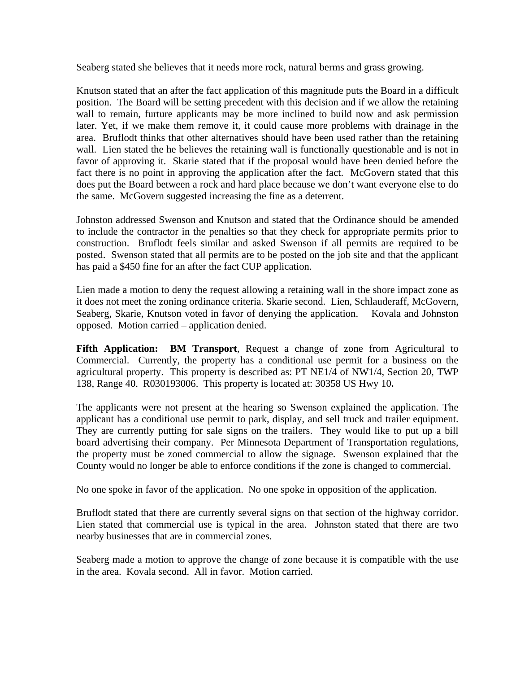Seaberg stated she believes that it needs more rock, natural berms and grass growing.

Knutson stated that an after the fact application of this magnitude puts the Board in a difficult position. The Board will be setting precedent with this decision and if we allow the retaining wall to remain, furture applicants may be more inclined to build now and ask permission later. Yet, if we make them remove it, it could cause more problems with drainage in the area. Bruflodt thinks that other alternatives should have been used rather than the retaining wall. Lien stated the he believes the retaining wall is functionally questionable and is not in favor of approving it. Skarie stated that if the proposal would have been denied before the fact there is no point in approving the application after the fact. McGovern stated that this does put the Board between a rock and hard place because we don't want everyone else to do the same. McGovern suggested increasing the fine as a deterrent.

Johnston addressed Swenson and Knutson and stated that the Ordinance should be amended to include the contractor in the penalties so that they check for appropriate permits prior to construction. Bruflodt feels similar and asked Swenson if all permits are required to be posted. Swenson stated that all permits are to be posted on the job site and that the applicant has paid a \$450 fine for an after the fact CUP application.

Lien made a motion to deny the request allowing a retaining wall in the shore impact zone as it does not meet the zoning ordinance criteria. Skarie second. Lien, Schlauderaff, McGovern, Seaberg, Skarie, Knutson voted in favor of denying the application. Kovala and Johnston opposed. Motion carried – application denied.

**Fifth Application: BM Transport**, Request a change of zone from Agricultural to Commercial. Currently, the property has a conditional use permit for a business on the agricultural property. This property is described as: PT NE1/4 of NW1/4, Section 20, TWP 138, Range 40. R030193006. This property is located at: 30358 US Hwy 10**.** 

The applicants were not present at the hearing so Swenson explained the application. The applicant has a conditional use permit to park, display, and sell truck and trailer equipment. They are currently putting for sale signs on the trailers. They would like to put up a bill board advertising their company. Per Minnesota Department of Transportation regulations, the property must be zoned commercial to allow the signage. Swenson explained that the County would no longer be able to enforce conditions if the zone is changed to commercial.

No one spoke in favor of the application. No one spoke in opposition of the application.

Bruflodt stated that there are currently several signs on that section of the highway corridor. Lien stated that commercial use is typical in the area. Johnston stated that there are two nearby businesses that are in commercial zones.

Seaberg made a motion to approve the change of zone because it is compatible with the use in the area. Kovala second. All in favor. Motion carried.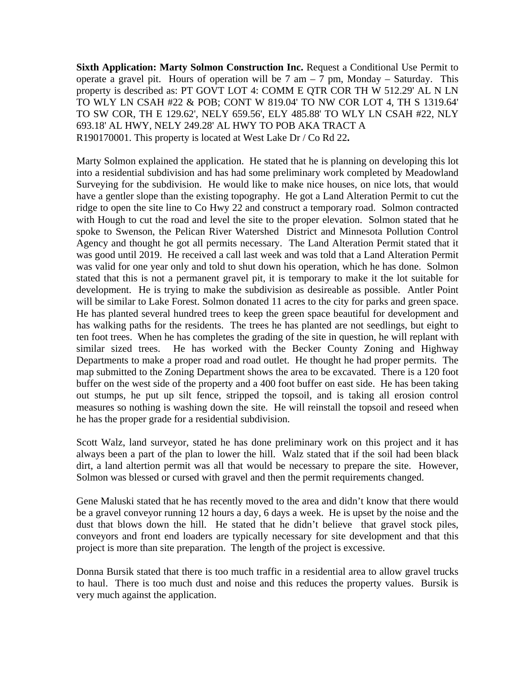**Sixth Application: Marty Solmon Construction Inc. Request a Conditional Use Permit to** operate a gravel pit. Hours of operation will be  $7 \text{ am} - 7 \text{ pm}$ , Monday – Saturday. This property is described as: PT GOVT LOT 4: COMM E QTR COR TH W 512.29' AL N LN TO WLY LN CSAH #22 & POB; CONT W 819.04' TO NW COR LOT 4, TH S 1319.64' TO SW COR, TH E 129.62', NELY 659.56', ELY 485.88' TO WLY LN CSAH #22, NLY 693.18' AL HWY, NELY 249.28' AL HWY TO POB AKA TRACT A R190170001. This property is located at West Lake Dr / Co Rd 22**.** 

Marty Solmon explained the application. He stated that he is planning on developing this lot into a residential subdivision and has had some preliminary work completed by Meadowland Surveying for the subdivision. He would like to make nice houses, on nice lots, that would have a gentler slope than the existing topography. He got a Land Alteration Permit to cut the ridge to open the site line to Co Hwy 22 and construct a temporary road. Solmon contracted with Hough to cut the road and level the site to the proper elevation. Solmon stated that he spoke to Swenson, the Pelican River Watershed District and Minnesota Pollution Control Agency and thought he got all permits necessary. The Land Alteration Permit stated that it was good until 2019. He received a call last week and was told that a Land Alteration Permit was valid for one year only and told to shut down his operation, which he has done. Solmon stated that this is not a permanent gravel pit, it is temporary to make it the lot suitable for development. He is trying to make the subdivision as desireable as possible. Antler Point will be similar to Lake Forest. Solmon donated 11 acres to the city for parks and green space. He has planted several hundred trees to keep the green space beautiful for development and has walking paths for the residents. The trees he has planted are not seedlings, but eight to ten foot trees. When he has completes the grading of the site in question, he will replant with similar sized trees. He has worked with the Becker County Zoning and Highway Departments to make a proper road and road outlet. He thought he had proper permits. The map submitted to the Zoning Department shows the area to be excavated. There is a 120 foot buffer on the west side of the property and a 400 foot buffer on east side. He has been taking out stumps, he put up silt fence, stripped the topsoil, and is taking all erosion control measures so nothing is washing down the site. He will reinstall the topsoil and reseed when he has the proper grade for a residential subdivision.

Scott Walz, land surveyor, stated he has done preliminary work on this project and it has always been a part of the plan to lower the hill. Walz stated that if the soil had been black dirt, a land altertion permit was all that would be necessary to prepare the site. However, Solmon was blessed or cursed with gravel and then the permit requirements changed.

Gene Maluski stated that he has recently moved to the area and didn't know that there would be a gravel conveyor running 12 hours a day, 6 days a week. He is upset by the noise and the dust that blows down the hill. He stated that he didn't believe that gravel stock piles, conveyors and front end loaders are typically necessary for site development and that this project is more than site preparation. The length of the project is excessive.

Donna Bursik stated that there is too much traffic in a residential area to allow gravel trucks to haul. There is too much dust and noise and this reduces the property values. Bursik is very much against the application.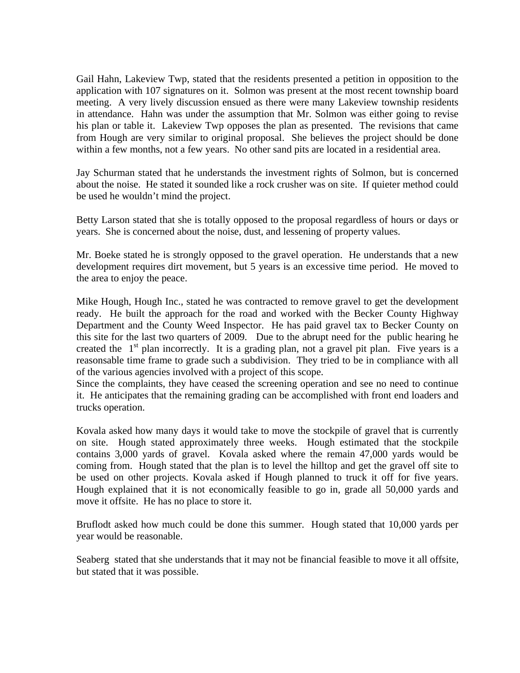Gail Hahn, Lakeview Twp, stated that the residents presented a petition in opposition to the application with 107 signatures on it. Solmon was present at the most recent township board meeting. A very lively discussion ensued as there were many Lakeview township residents in attendance. Hahn was under the assumption that Mr. Solmon was either going to revise his plan or table it. Lakeview Twp opposes the plan as presented. The revisions that came from Hough are very similar to original proposal. She believes the project should be done within a few months, not a few years. No other sand pits are located in a residential area.

Jay Schurman stated that he understands the investment rights of Solmon, but is concerned about the noise. He stated it sounded like a rock crusher was on site. If quieter method could be used he wouldn't mind the project.

Betty Larson stated that she is totally opposed to the proposal regardless of hours or days or years. She is concerned about the noise, dust, and lessening of property values.

Mr. Boeke stated he is strongly opposed to the gravel operation. He understands that a new development requires dirt movement, but 5 years is an excessive time period. He moved to the area to enjoy the peace.

Mike Hough, Hough Inc., stated he was contracted to remove gravel to get the development ready. He built the approach for the road and worked with the Becker County Highway Department and the County Weed Inspector. He has paid gravel tax to Becker County on this site for the last two quarters of 2009. Due to the abrupt need for the public hearing he created the  $1<sup>st</sup>$  plan incorrectly. It is a grading plan, not a gravel pit plan. Five years is a reasonsable time frame to grade such a subdivision. They tried to be in compliance with all of the various agencies involved with a project of this scope.

Since the complaints, they have ceased the screening operation and see no need to continue it. He anticipates that the remaining grading can be accomplished with front end loaders and trucks operation.

Kovala asked how many days it would take to move the stockpile of gravel that is currently on site. Hough stated approximately three weeks. Hough estimated that the stockpile contains 3,000 yards of gravel. Kovala asked where the remain 47,000 yards would be coming from. Hough stated that the plan is to level the hilltop and get the gravel off site to be used on other projects. Kovala asked if Hough planned to truck it off for five years. Hough explained that it is not economically feasible to go in, grade all 50,000 yards and move it offsite. He has no place to store it.

Bruflodt asked how much could be done this summer. Hough stated that 10,000 yards per year would be reasonable.

Seaberg stated that she understands that it may not be financial feasible to move it all offsite, but stated that it was possible.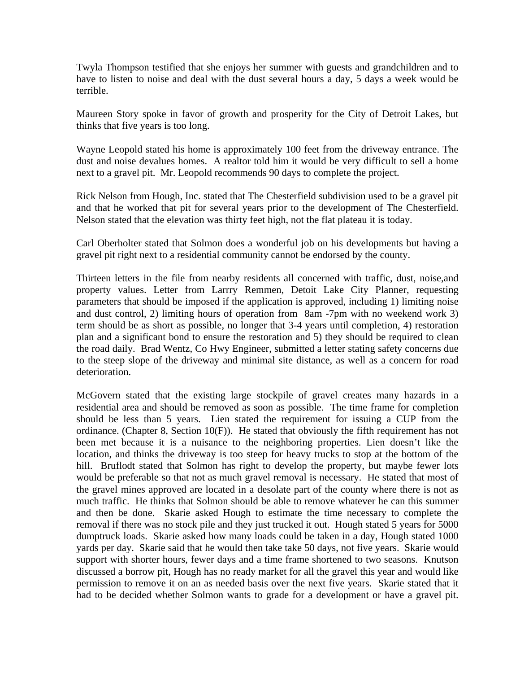Twyla Thompson testified that she enjoys her summer with guests and grandchildren and to have to listen to noise and deal with the dust several hours a day, 5 days a week would be terrible.

Maureen Story spoke in favor of growth and prosperity for the City of Detroit Lakes, but thinks that five years is too long.

Wayne Leopold stated his home is approximately 100 feet from the driveway entrance. The dust and noise devalues homes. A realtor told him it would be very difficult to sell a home next to a gravel pit. Mr. Leopold recommends 90 days to complete the project.

Rick Nelson from Hough, Inc. stated that The Chesterfield subdivision used to be a gravel pit and that he worked that pit for several years prior to the development of The Chesterfield. Nelson stated that the elevation was thirty feet high, not the flat plateau it is today.

Carl Oberholter stated that Solmon does a wonderful job on his developments but having a gravel pit right next to a residential community cannot be endorsed by the county.

Thirteen letters in the file from nearby residents all concerned with traffic, dust, noise,and property values. Letter from Larrry Remmen, Detoit Lake City Planner, requesting parameters that should be imposed if the application is approved, including 1) limiting noise and dust control, 2) limiting hours of operation from 8am -7pm with no weekend work 3) term should be as short as possible, no longer that 3-4 years until completion, 4) restoration plan and a significant bond to ensure the restoration and 5) they should be required to clean the road daily. Brad Wentz, Co Hwy Engineer, submitted a letter stating safety concerns due to the steep slope of the driveway and minimal site distance, as well as a concern for road deterioration.

McGovern stated that the existing large stockpile of gravel creates many hazards in a residential area and should be removed as soon as possible. The time frame for completion should be less than 5 years. Lien stated the requirement for issuing a CUP from the ordinance. (Chapter 8, Section 10(F)). He stated that obviously the fifth requirement has not been met because it is a nuisance to the neighboring properties. Lien doesn't like the location, and thinks the driveway is too steep for heavy trucks to stop at the bottom of the hill. Bruflodt stated that Solmon has right to develop the property, but maybe fewer lots would be preferable so that not as much gravel removal is necessary. He stated that most of the gravel mines approved are located in a desolate part of the county where there is not as much traffic. He thinks that Solmon should be able to remove whatever he can this summer and then be done. Skarie asked Hough to estimate the time necessary to complete the removal if there was no stock pile and they just trucked it out. Hough stated 5 years for 5000 dumptruck loads. Skarie asked how many loads could be taken in a day, Hough stated 1000 yards per day. Skarie said that he would then take take 50 days, not five years. Skarie would support with shorter hours, fewer days and a time frame shortened to two seasons. Knutson discussed a borrow pit, Hough has no ready market for all the gravel this year and would like permission to remove it on an as needed basis over the next five years. Skarie stated that it had to be decided whether Solmon wants to grade for a development or have a gravel pit.